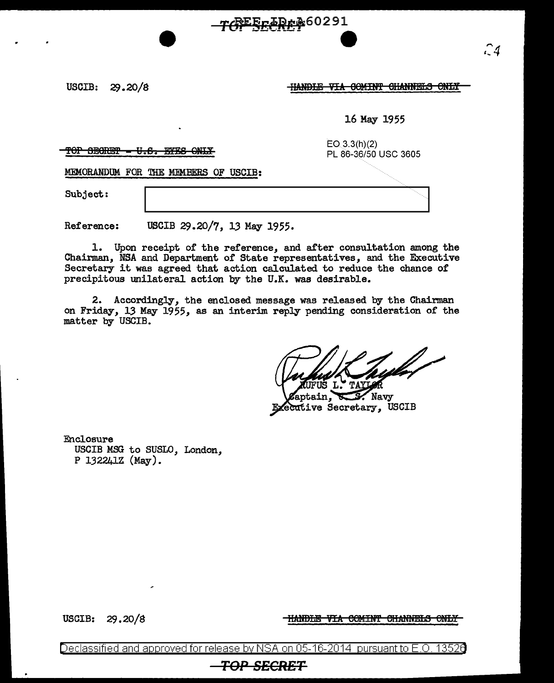$USCIB: 29.20/8$ 

**HANDLE VIA COMINT CHANNELS ONLY** 

16 May 1955

 $\text{TOP}$   $\text{EBG-WEF}$   $\text{-EH-SE-ONLF}$ 

EO 3.3(h)(2) PL 86-36/50 USC 3605

MEMORANDUM FOR THE MEMBERS OF USCIB:

Subject:

Reference: USCIB 29.20/7, 13 May 1955.

1. Upon receipt of the reference, and after consultation among the Chairman, NSA and Department of State representatives, and the Executive Secretary it was agreed that action calculated to reduce the chance of precipitous unilateral action by the U.K. was desirable.

7CFEECRE? 60291

2. Accordingly, the enclosed message was released by the Chairman on Friday, 13 May 1955, as an interim reply pending consideration of the matter by USCIB.

yla

Navy ecutive Secretary, USCIB

Enclosure USCIB MSG to SUSLO, London, P 132241Z (May).

USCIB: 29.20/S

HANDLE VIA COMINT CHANNELS ONLY

Declassified and approved for release by NSA on 05-16-2014 pursuantto E .0. 1352a